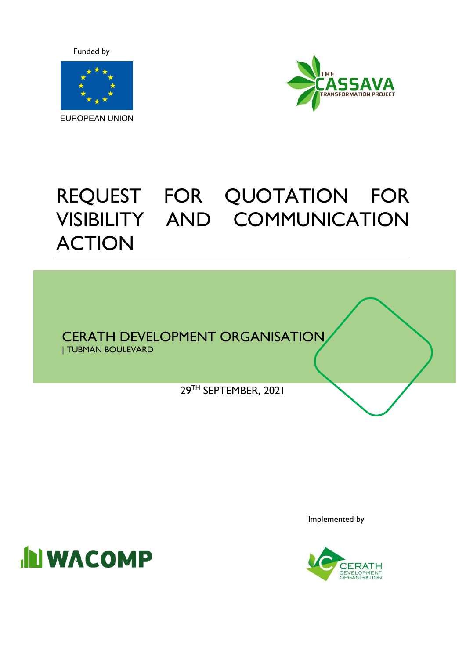Funded by





# REQUEST FOR QUOTATION FOR VISIBILITY AND COMMUNICATION ACTION

CERATH DEVELOPMENT ORGANISATION

| TUBMAN BOULEVARD

29TH SEPTEMBER, 2021



Implemented by

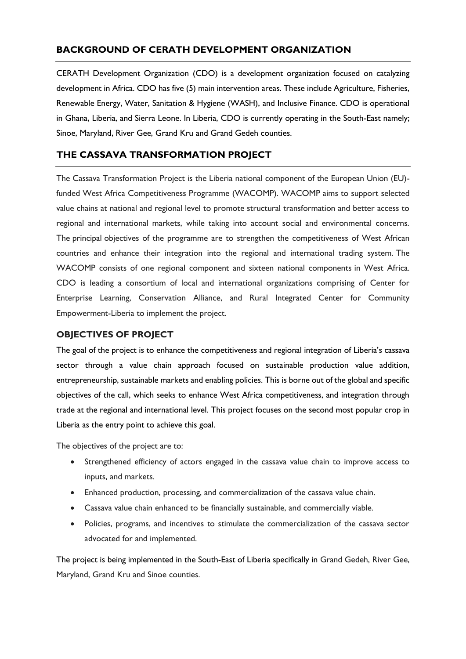### **BACKGROUND OF CERATH DEVELOPMENT ORGANIZATION**

CERATH Development Organization (CDO) is a development organization focused on catalyzing development in Africa. CDO has five (5) main intervention areas. These include Agriculture, Fisheries, Renewable Energy, Water, Sanitation & Hygiene (WASH), and Inclusive Finance. CDO is operational in Ghana, Liberia, and Sierra Leone. In Liberia, CDO is currently operating in the South-East namely; Sinoe, Maryland, River Gee, Grand Kru and Grand Gedeh counties.

## **THE CASSAVA TRANSFORMATION PROJECT**

The Cassava Transformation Project is the Liberia national component of the European Union (EU) funded West Africa Competitiveness Programme (WACOMP). WACOMP aims to support selected value chains at national and regional level to promote structural transformation and better access to regional and international markets, while taking into account social and environmental concerns. The principal objectives of the programme are to strengthen the competitiveness of West African countries and enhance their integration into the regional and international trading system. The WACOMP consists of one regional component and sixteen national components in West Africa. CDO is leading a consortium of local and international organizations comprising of Center for Enterprise Learning, Conservation Alliance, and Rural Integrated Center for Community Empowerment-Liberia to implement the project.

#### **OBJECTIVES OF PROJECT**

The goal of the project is to enhance the competitiveness and regional integration of Liberia's cassava sector through a value chain approach focused on sustainable production value addition, entrepreneurship, sustainable markets and enabling policies. This is borne out of the global and specific objectives of the call, which seeks to enhance West Africa competitiveness, and integration through trade at the regional and international level. This project focuses on the second most popular crop in Liberia as the entry point to achieve this goal.

The objectives of the project are to:

- Strengthened efficiency of actors engaged in the cassava value chain to improve access to inputs, and markets.
- Enhanced production, processing, and commercialization of the cassava value chain.
- Cassava value chain enhanced to be financially sustainable, and commercially viable.
- Policies, programs, and incentives to stimulate the commercialization of the cassava sector advocated for and implemented.

The project is being implemented in the South-East of Liberia specifically in Grand Gedeh, River Gee, Maryland, Grand Kru and Sinoe counties.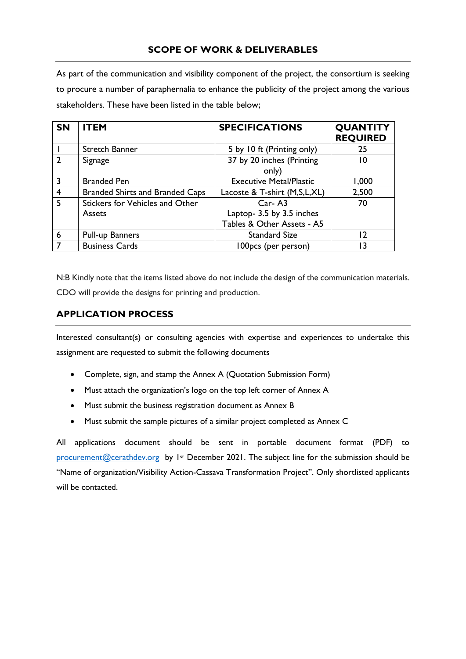As part of the communication and visibility component of the project, the consortium is seeking to procure a number of paraphernalia to enhance the publicity of the project among the various stakeholders. These have been listed in the table below;

| <b>SN</b>      | <b>ITEM</b>                            | <b>SPECIFICATIONS</b>           | <b>QUANTITY</b><br><b>REQUIRED</b> |
|----------------|----------------------------------------|---------------------------------|------------------------------------|
|                | Stretch Banner                         | 5 by 10 ft (Printing only)      | 25                                 |
| $\overline{2}$ | Signage                                | 37 by 20 inches (Printing       | 10                                 |
|                |                                        | only)                           |                                    |
| 3              | <b>Branded Pen</b>                     | <b>Executive Metal/Plastic</b>  | 1,000                              |
| $\overline{4}$ | <b>Branded Shirts and Branded Caps</b> | Lacoste & T-shirt (M, S, L, XL) | 2,500                              |
| 5              | Stickers for Vehicles and Other        | $Car- A3$                       | 70                                 |
|                | <b>Assets</b>                          | Laptop- 3.5 by 3.5 inches       |                                    |
|                |                                        | Tables & Other Assets - A5      |                                    |
| 6              | <b>Pull-up Banners</b>                 | <b>Standard Size</b>            | 12                                 |
|                | <b>Business Cards</b>                  | 100pcs (per person)             | 3 ا                                |

N:B Kindly note that the items listed above do not include the design of the communication materials. CDO will provide the designs for printing and production.

## **APPLICATION PROCESS**

Interested consultant(s) or consulting agencies with expertise and experiences to undertake this assignment are requested to submit the following documents

- Complete, sign, and stamp the Annex A (Quotation Submission Form)
- Must attach the organization's logo on the top left corner of Annex A
- Must submit the business registration document as Annex B
- Must submit the sample pictures of a similar project completed as Annex C

All applications document should be sent in portable document format (PDF) to [procurement@cerathdev.org](mailto:procurement@cerathdev.org) by 1<sup>st</sup> December 2021. The subject line for the submission should be "Name of organization/Visibility Action-Cassava Transformation Project". Only shortlisted applicants will be contacted.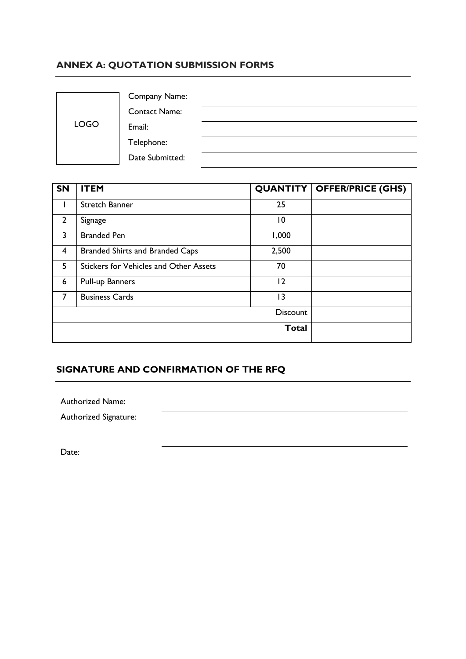## **ANNEX A: QUOTATION SUBMISSION FORMS**

|             | <b>Company Name:</b> |  |
|-------------|----------------------|--|
|             | <b>Contact Name:</b> |  |
| <b>LOGO</b> | Email:               |  |
|             | Telephone:           |  |
|             | Date Submitted:      |  |

| <b>SN</b>      | <b>ITEM</b>                                   |                 | <b>QUANTITY   OFFER/PRICE (GHS)</b> |
|----------------|-----------------------------------------------|-----------------|-------------------------------------|
|                | Stretch Banner                                | 25              |                                     |
| $\overline{2}$ | Signage                                       | $\overline{10}$ |                                     |
| 3              | <b>Branded Pen</b>                            | 1,000           |                                     |
| 4              | <b>Branded Shirts and Branded Caps</b>        | 2,500           |                                     |
| 5              | <b>Stickers for Vehicles and Other Assets</b> | 70              |                                     |
| 6              | Pull-up Banners                               | $ 2\rangle$     |                                     |
| 7              | <b>Business Cards</b>                         | 13              |                                     |
|                |                                               | <b>Discount</b> |                                     |
|                |                                               | <b>Total</b>    |                                     |

## **SIGNATURE AND CONFIRMATION OF THE RFQ**

Authorized Name:

Authorized Signature:

Date: